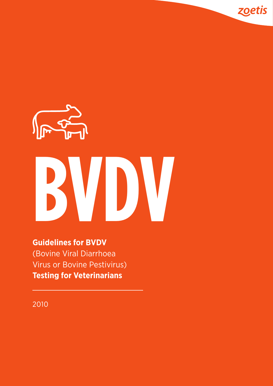

zoetis

# **Guidelines for BVDV** (Bovine Viral Diarrhoea Virus or Bovine Pestivirus) **Testing for Veterinarians**

2010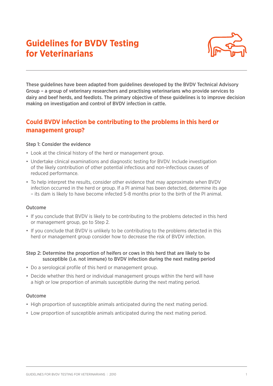# **Guidelines for BVDV Testing for Veterinarians**



These guidelines have been adapted from guidelines developed by the BVDV Technical Advisory Group – a group of veterinary researchers and practising veterinarians who provide services to dairy and beef herds, and feedlots. The primary objective of these guidelines is to improve decision making on investigation and control of BVDV infection in cattle.

## **Could BVDV infection be contributing to the problems in this herd or management group?**

### Step 1: Consider the evidence

- Look at the clinical history of the herd or management group.
- Undertake clinical examinations and diagnostic testing for BVDV. Include investigation of the likely contribution of other potential infectious and non-infectious causes of reduced performance.
- To help interpret the results, consider other evidence that may approximate when BVDV infection occurred in the herd or group. If a PI animal has been detected, determine its age – its dam is likely to have become infected 5-8 months prior to the birth of the PI animal.

#### Outcome

- If you conclude that BVDV is likely to be contributing to the problems detected in this herd or management group, go to Step 2.
- If you conclude that BVDV is unlikely to be contributing to the problems detected in this herd or management group consider how to decrease the risk of BVDV infection.
- Step 2: Determine the proportion of heifers or cows in this herd that are likely to be susceptible (i.e. not immune) to BVDV infection during the next mating period
- Do a serological profile of this herd or management group.
- Decide whether this herd or individual management groups within the herd will have a high or low proportion of animals susceptible during the next mating period.

#### Outcome

- High proportion of susceptible animals anticipated during the next mating period.
- Low proportion of susceptible animals anticipated during the next mating period.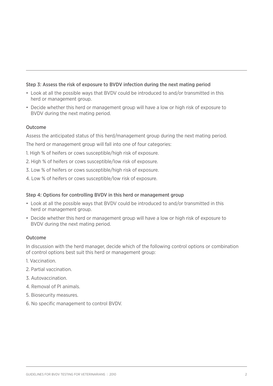### Step 3: Assess the risk of exposure to BVDV infection during the next mating period

- Look at all the possible ways that BVDV could be introduced to and/or transmitted in this herd or management group.
- Decide whether this herd or management group will have a low or high risk of exposure to BVDV during the next mating period.

### Outcome

Assess the anticipated status of this herd/management group during the next mating period.

The herd or management group will fall into one of four categories:

- 1. High % of heifers or cows susceptible/high risk of exposure.
- 2. High % of heifers or cows susceptible/low risk of exposure.
- 3. Low % of heifers or cows susceptible/high risk of exposure.
- 4. Low % of heifers or cows susceptible/low risk of exposure.

### Step 4: Options for controlling BVDV in this herd or management group

- Look at all the possible ways that BVDV could be introduced to and/or transmitted in this herd or management group.
- Decide whether this herd or management group will have a low or high risk of exposure to BVDV during the next mating period.

### Outcome

In discussion with the herd manager, decide which of the following control options or combination of control options best suit this herd or management group:

- 1. Vaccination.
- 2. Partial vaccination.
- 3. Autovaccination.
- 4. Removal of PI animals.
- 5. Biosecurity measures.
- 6. No specific management to control BVDV.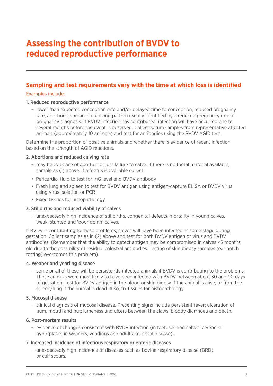# **Assessing the contribution of BVDV to reduced reproductive performance**

## **Sampling and test requirements vary with the time at which loss is identified**

### Examples include:

### 1. Reduced reproductive performance

 – lower than expected conception rate and/or delayed time to conception, reduced pregnancy rate, abortions, spread-out calving pattern usually identified by a reduced pregnancy rate at pregnancy diagnosis. If BVDV infection has contributed, infection will have occurred one to several months before the event is observed. Collect serum samples from representative affected animals (approximately 10 animals) and test for antibodies using the BVDV AGID test.

Determine the proportion of positive animals and whether there is evidence of recent infection based on the strength of AGID reactions.

### 2. Abortions and reduced calving rate

- may be evidence of abortion or just failure to calve. If there is no foetal material available, sample as (1) above. If a foetus is available collect:
- Pericardial fluid to test for IgG level and BVDV antibody
- Fresh lung and spleen to test for BVDV antigen using antigen-capture ELISA or BVDV virus using virus isolation or PCR
- Fixed tissues for histopathology.

### 3. Stillbirths and reduced viability of calves

 – unexpectedly high incidence of stillbirths, congenital defects, mortality in young calves, weak, stunted and 'poor doing' calves.

If BVDV is contributing to these problems, calves will have been infected at some stage during gestation. Collect samples as in (2) above and test for both BVDV antigen or virus and BVDV antibodies. (Remember that the ability to detect antigen may be compromised in calves <5 months old due to the possibility of residual colostral antibodies. Testing of skin biopsy samples (ear notch testing) overcomes this problem).

### 4. Weaner and yearling disease

 – some or all of these will be persistently infected animals if BVDV is contributing to the problems. These animals were most likely to have been infected with BVDV between about 30 and 90 days of gestation. Test for BVDV antigen in the blood or skin biopsy if the animal is alive, or from the spleen/lung if the animal is dead. Also, fix tissues for histopathology.

### 5. Mucosal disease

 – clinical diagnosis of mucosal disease. Presenting signs include persistent fever; ulceration of gum, mouth and gut; lameness and ulcers between the claws; bloody diarrhoea and death.

### 6. Post-mortem results

 – evidence of changes consistent with BVDV infection (in foetuses and calves: cerebellar hyporplasia; in weaners, yearlings and adults: mucosal disease).

### 7. Increased incidence of infectious respiratory or enteric diseases

 – unexpectedly high incidence of diseases such as bovine respiratory disease (BRD) or calf scours.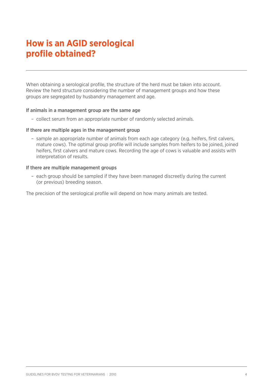# **How is an AGID serological profile obtained?**

When obtaining a serological profile, the structure of the herd must be taken into account. Review the herd structure considering the number of management groups and how these groups are segregated by husbandry management and age.

#### If animals in a management group are the same age

– collect serum from an appropriate number of randomly selected animals.

#### If there are multiple ages in the management group

 – sample an appropriate number of animals from each age category (e.g. heifers, first calvers, mature cows). The optimal group profile will include samples from heifers to be joined, joined heifers, first calvers and mature cows. Recording the age of cows is valuable and assists with interpretation of results.

#### If there are multiple management groups

 – each group should be sampled if they have been managed discreetly during the current (or previous) breeding season.

The precision of the serological profile will depend on how many animals are tested.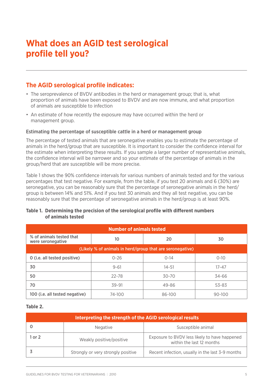# **What does an AGID test serological profile tell you?**

## **The AGID serological profile indicates:**

- The seroprevalence of BVDV antibodies in the herd or management group; that is, what proportion of animals have been exposed to BVDV and are now immune, and what proportion of animals are susceptible to infection
- An estimate of how recently the exposure may have occurred within the herd or management group.

### Estimating the percentage of susceptible cattle in a herd or management group

The percentage of tested animals that are seronegative enables you to estimate the percentage of animals in the herd/group that are susceptible. It is important to consider the confidence interval for the estimate when interpreting these results. If you sample a larger number of representative animals, the confidence interval will be narrower and so your estimate of the percentage of animals in the group/herd that are susceptible will be more precise.

Table 1 shows the 90% confidence intervals for various numbers of animals tested and for the various percentages that test negative. For example, from the table, if you test 20 animals and 6 (30%) are seronegative, you can be reasonably sure that the percentage of seronegative animals in the herd/ group is between 14% and 51%. And if you test 30 animals and they all test negative, you can be reasonably sure that the percentage of seronegative animals in the herd/group is at least 90%.

### **Table 1. Determining the precision of the serological profile with different numbers of animals tested**

| <b>Number of animals tested</b>                           |           |           |           |  |
|-----------------------------------------------------------|-----------|-----------|-----------|--|
| % of animals tested that<br>10<br>were seronegative       |           | 20        | 30        |  |
| (Likely % of animals in herd/group that are seronegative) |           |           |           |  |
| 0 (i.e. all tested positive)                              | $0 - 26$  | $0 - 14$  | $0 - 10$  |  |
| 30                                                        | $9 - 61$  | $14 - 51$ | $17 - 47$ |  |
| 50                                                        | 22-78     | $30 - 70$ | 34-66     |  |
| 70                                                        | $39 - 91$ | 49-86     | 53-83     |  |
| 100 (i.e. all tested negative)                            | 74-100    | 86-100    | 90-100    |  |

### **Table 2.**

| Interpreting the strength of the AGID serological results |                                    |                                                                            |  |
|-----------------------------------------------------------|------------------------------------|----------------------------------------------------------------------------|--|
|                                                           | <b>Negative</b>                    | Susceptible animal                                                         |  |
| 1 or 2                                                    | Weakly positive/positive           | Exposure to BVDV less likely to have happened<br>within the last 12 months |  |
|                                                           | Strongly or very strongly positive | Recent infection, usually in the last 3-9 months                           |  |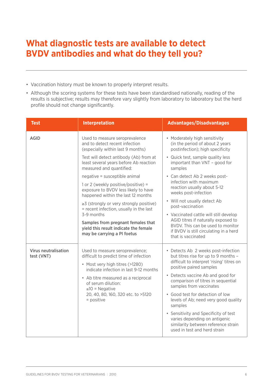# **What diagnostic tests are available to detect BVDV antibodies and what do they tell you?**

- Vaccination history must be known to properly interpret results.
- Although the scoring systems for these tests have been standardised nationally, reading of the results is subjective; results may therefore vary slightly from laboratory to laboratory but the herd profile should not change significantly.

| <b>Test</b>                               | <b>Interpretation</b>                                                                                                                                                                                                                                                                             | <b>Advantages/Disadvantages</b>                                                                                                                                                                                                                                                                                                                                                                                                                                                                   |  |  |
|-------------------------------------------|---------------------------------------------------------------------------------------------------------------------------------------------------------------------------------------------------------------------------------------------------------------------------------------------------|---------------------------------------------------------------------------------------------------------------------------------------------------------------------------------------------------------------------------------------------------------------------------------------------------------------------------------------------------------------------------------------------------------------------------------------------------------------------------------------------------|--|--|
| <b>AGID</b>                               | Used to measure seroprevalence<br>and to detect recent infection<br>(especially within last 9 months)                                                                                                                                                                                             | • Moderately high sensitivity<br>(in the period of about 2 years)<br>postinfection); high specificity                                                                                                                                                                                                                                                                                                                                                                                             |  |  |
|                                           | Test will detect antibody (Ab) from at<br>least several years before Ab reaction<br>measured and quantified:                                                                                                                                                                                      | • Quick test, sample quality less<br>important than VNT - good for<br>samples                                                                                                                                                                                                                                                                                                                                                                                                                     |  |  |
|                                           | negative = susceptible animal                                                                                                                                                                                                                                                                     | • Can detect Ab 2 weeks post-<br>infection with maximum<br>reaction usually about 5-12<br>weeks post-infection<br>• Will not usually detect Ab<br>post-vaccination<br>• Vaccinated cattle will still develop<br>AGID titres if naturally exposed to                                                                                                                                                                                                                                               |  |  |
|                                           | 1 or 2 (weekly positive/positive) =<br>exposure to BVDV less likely to have<br>happened within the last 12 months                                                                                                                                                                                 |                                                                                                                                                                                                                                                                                                                                                                                                                                                                                                   |  |  |
|                                           | $\geq$ 3 (strongly or very strongly positive)<br>= recent infection, usually in the last<br>3-9 months                                                                                                                                                                                            |                                                                                                                                                                                                                                                                                                                                                                                                                                                                                                   |  |  |
|                                           | Samples from pregnant females that                                                                                                                                                                                                                                                                |                                                                                                                                                                                                                                                                                                                                                                                                                                                                                                   |  |  |
|                                           | yield this result indicate the female<br>may be carrying a PI foetus                                                                                                                                                                                                                              | BVDV. This can be used to monitor<br>if BVDV is still circulating in a herd<br>that is vaccinated                                                                                                                                                                                                                                                                                                                                                                                                 |  |  |
| <b>Virus neutralisation</b><br>test (VNT) | Used to measure seroprevalence;<br>difficult to predict time of infection<br>• Most very high titres (>1280)<br>indicate infection in last 9-12 months<br>• Ab titre measured as a reciprocal<br>of serum dilution:<br>$\leq 10$ = Negative<br>20, 40, 80, 160, 320 etc. to >5120<br>$=$ positive | • Detects Ab 2 weeks post-infection<br>but titres rise for up to 9 months -<br>difficult to interpret 'rising' titres on<br>positive paired samples<br>• Detects vaccine Ab and good for<br>comparison of titres in sequential<br>samples from vaccinates<br>• Good test for detection of low<br>levels of Ab; need very good quality<br>samples<br>• Sensitivity and Specificity of test<br>varies depending on antigenic<br>similarity between reference strain<br>used in test and herd strain |  |  |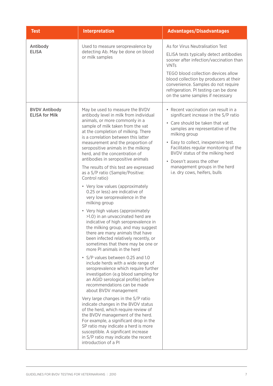| <b>Test</b>                                   | <b>Interpretation</b>                                                                                                                                                                                                                                                                                                                                                                                                                                                                                                                                                                                                                                                                                                                                                                                                                                                                                                                                                                                                                                                                                                                                                                                                                                                                                                                                                                                                                                                                                                                 | <b>Advantages/Disadvantages</b>                                                                                                                                                                                                                                                                                                                                                                       |
|-----------------------------------------------|---------------------------------------------------------------------------------------------------------------------------------------------------------------------------------------------------------------------------------------------------------------------------------------------------------------------------------------------------------------------------------------------------------------------------------------------------------------------------------------------------------------------------------------------------------------------------------------------------------------------------------------------------------------------------------------------------------------------------------------------------------------------------------------------------------------------------------------------------------------------------------------------------------------------------------------------------------------------------------------------------------------------------------------------------------------------------------------------------------------------------------------------------------------------------------------------------------------------------------------------------------------------------------------------------------------------------------------------------------------------------------------------------------------------------------------------------------------------------------------------------------------------------------------|-------------------------------------------------------------------------------------------------------------------------------------------------------------------------------------------------------------------------------------------------------------------------------------------------------------------------------------------------------------------------------------------------------|
| Antibody<br><b>ELISA</b>                      | Used to measure seroprevalence by<br>detecting Ab. May be done on blood<br>or milk samples                                                                                                                                                                                                                                                                                                                                                                                                                                                                                                                                                                                                                                                                                                                                                                                                                                                                                                                                                                                                                                                                                                                                                                                                                                                                                                                                                                                                                                            | As for Virus Neutralisation Test<br>ELISA tests typically detect antibodies<br>sooner after infection/vaccination than<br><b>VNTs</b><br>TEGO blood collection devices allow<br>blood collection by producers at their<br>convenience. Samples do not require<br>refrigeration. PI testing can be done<br>on the same samples if necessary                                                            |
| <b>BVDV Antibody</b><br><b>ELISA for Milk</b> | May be used to measure the BVDV<br>antibody level in milk from individual<br>animals, or more commonly in a<br>sample of milk taken from the vat<br>at the completion of milking. There<br>is a correlation between this latter<br>measurement and the proportion of<br>seropositive animals in the milking<br>herd, and the concentration of<br>antibodies in seropositive animals<br>The results of this test are expressed<br>as a S/P ratio (Sample/Positive:<br>Control ratio)<br>• Very low values (approximately<br>0.25 or less) are indicative of<br>very low seroprevalence in the<br>milking group<br>• Very high values (approximately<br>>1.0) in an unvaccinated herd are<br>indicative of high seroprevalence in<br>the milking group, and may suggest<br>there are many animals that have<br>been infected relatively recently, or<br>sometimes that there may be one or<br>more PI animals in the herd<br>• S/P values between 0.25 and 1.0<br>include herds with a wide range of<br>seroprevalence which require further<br>investigation (e.g blood sampling for<br>an AGID serological profile) before<br>recommendations can be made<br>about BVDV management<br>Very large changes in the S/P ratio<br>indicate changes in the BVDV status<br>of the herd, which require review of<br>the BVDV management of the herd.<br>For example, a significant drop in the<br>SP ratio may indicate a herd is more<br>susceptible. A significant increase<br>in S/P ratio may indicate the recent<br>introduction of a PI | • Recent vaccination can result in a<br>significant increase in the S/P ratio<br>• Care should be taken that vat<br>samples are representative of the<br>milking group<br>• Easy to collect, inexpensive test.<br>Facilitates regular monitoring of the<br>BVDV status of the milking herd<br>Doesn't assess the other<br>$\bullet$<br>management groups in the herd<br>i.e. dry cows, heifers, bulls |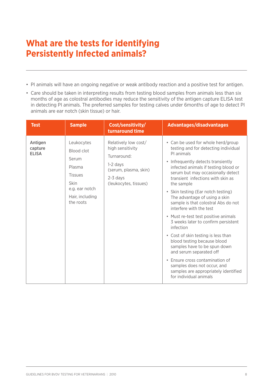# **What are the tests for identifying Persistently Infected animals?**

- PI animals will have an ongoing negative or weak antibody reaction and a positive test for antigen.
- Care should be taken in interpreting results from testing blood samples from animals less than six months of age as colostral antibodies may reduce the sensitivity of the antigen capture ELISA test in detecting PI animals. The preferred samples for testing calves under 6months of age to detect PI animals are ear notch (skin tissue) or hair.

| <b>Test</b>                        | <b>Sample</b>                                                                                                                  | Cost/sensitivity/<br>turnaround time                                                                                                  | <b>Advantages/disadvantages</b>                                                                                                                                                                                                                                                                                                                                                                                                                                                                                                                                                                                                                                                                                                                                          |
|------------------------------------|--------------------------------------------------------------------------------------------------------------------------------|---------------------------------------------------------------------------------------------------------------------------------------|--------------------------------------------------------------------------------------------------------------------------------------------------------------------------------------------------------------------------------------------------------------------------------------------------------------------------------------------------------------------------------------------------------------------------------------------------------------------------------------------------------------------------------------------------------------------------------------------------------------------------------------------------------------------------------------------------------------------------------------------------------------------------|
| Antigen<br>capture<br><b>ELISA</b> | Leukocytes<br>Blood clot<br>Serum<br>Plasma<br><b>Tissues</b><br><b>Skin</b><br>e.g. ear notch<br>Hair, including<br>the roots | Relatively low cost/<br>high sensitivity<br>Turnaround:<br>$1-2$ days<br>(serum, plasma, skin)<br>$2-3$ days<br>(leukocytes, tissues) | • Can be used for whole herd/group<br>testing and for detecting individual<br>PI animals<br>• Infrequently detects transiently<br>infected animals if testing blood or<br>serum but may occasionally detect<br>transient infections with skin as<br>the sample<br>• Skin testing (Ear notch testing)<br>The advantage of using a skin<br>sample is that colostral Abs do not<br>interfere with the test<br>• Must re-test test positive animals<br>3 weeks later to confirm persistent<br>infection<br>• Cost of skin testing is less than<br>blood testing because blood<br>samples have to be spun down<br>and serum separated off<br>• Ensure cross contamination of<br>samples does not occur, and<br>samples are appropriately identified<br>for individual animals |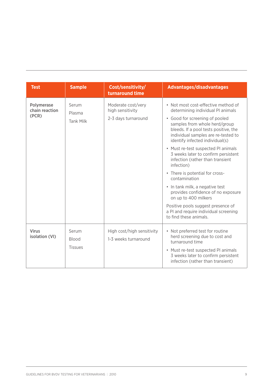| <b>Test</b>                           | <b>Sample</b>                           | Cost/sensitivity/<br>turnaround time                          | <b>Advantages/disadvantages</b>                                                                                                                                                                                                                                                                                                                                                                                                                                                                                                                                                                                                                              |
|---------------------------------------|-----------------------------------------|---------------------------------------------------------------|--------------------------------------------------------------------------------------------------------------------------------------------------------------------------------------------------------------------------------------------------------------------------------------------------------------------------------------------------------------------------------------------------------------------------------------------------------------------------------------------------------------------------------------------------------------------------------------------------------------------------------------------------------------|
| Polymerase<br>chain reaction<br>(PCR) | Serum<br>Plasma<br><b>Tank Milk</b>     | Moderate cost/very<br>high sensitivity<br>2-3 days turnaround | • Not most cost-effective method of<br>determining individual PI animals<br>· Good for screening of pooled<br>samples from whole herd/group<br>bleeds. If a pool tests positive, the<br>individual samples are re-tested to<br>identify infected individual(s)<br>• Must re-test suspected PI animals<br>3 weeks later to confirm persistent<br>infection (rather than transient<br>infection)<br>• There is potential for cross-<br>contamination<br>• In tank milk, a negative test<br>provides confidence of no exposure<br>on up to 400 milkers<br>Positive pools suggest presence of<br>a PI and require individual screening<br>to find these animals. |
| <b>Virus</b><br>isolation (VI)        | Serum<br><b>Blood</b><br><b>Tissues</b> | High cost/high sensitivity<br>1-3 weeks turnaround            | • Not preferred test for routine<br>herd screening due to cost and<br>turnaround time<br>• Must re-test suspected PI animals<br>3 weeks later to confirm persistent<br>infection (rather than transient)                                                                                                                                                                                                                                                                                                                                                                                                                                                     |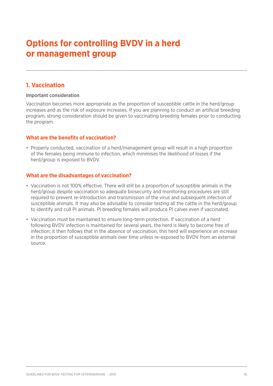# **Options for controlling BVDV in a herd or management group**

### **1. Vaccination**

### Important consideration

Vaccination becomes more appropriate as the proportion of susceptible cattle in the herd/group increases and as the risk of exposure increases. If you are planning to conduct an artificial breeding program, strong consideration should be given to vaccinating breeding females prior to conducting the program.

### **What are the benefits of vaccination?**

• Properly conducted, vaccination of a herd/management group will result in a high proportion of the females being immune to infection, which minimises the likelihood of losses if the herd/group is exposed to BVDV.

### **What are the disadvantages of vaccination?**

- Vaccination is not 100% effective. There will still be a proportion of susceptible animals in the herd/group despite vaccination so adequate biosecurity and monitoring procedures are still required to prevent re-introduction and transmission of the virus and subsequent infection of susceptible animals. It may also be advisable to consider testing all the cattle in the herd/group to identify and cull PI animals. PI breeding females will produce PI calves even if vaccinated.
- Vaccination must be maintained to ensure long-term protection. If vaccination of a herd following BVDV infection is maintained for several years, the herd is likely to become free of infection; it then follows that in the absence of vaccination, this herd will experience an increase in the proportion of susceptible animals over time unless re-exposed to BVDV from an external source.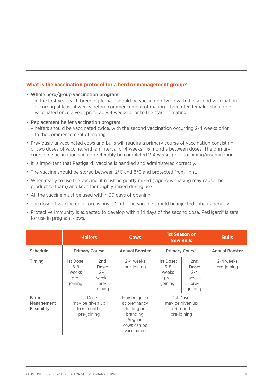### **What is the vaccination protocol for a herd or management group?**

#### • Whole herd/group vaccination program

- in the first year each breeding female should be vaccinated twice with the second vaccination occurring at least 4 weeks before commencement of mating. Thereafter, females should be vaccinated once a year, preferably 4 weeks prior to the start of mating.
- Replacement heifer vaccination program
	- heifers should be vaccinated twice, with the second vaccination occurring 2-4 weeks prior to the commencement of mating.
- Previously unvaccinated cows and bulls will require a primary course of vaccination consisting of two doses of vaccine, with an interval of 4 weeks – 6 months between doses. The primary course of vaccination should preferably be completed 2-4 weeks prior to joining/insemination.
- It is important that Pestigard® vaccine is handled and administered correctly.
- The vaccine should be stored between 2°C and 8°C and protected from light.
- When ready to use the vaccine, it must be gently mixed (vigorous shaking may cause the product to foam) and kept thoroughly mixed during use.
- All the vaccine must be used within 30 days of opening.
- The dose of vaccine on all occasions is 2 mL. The vaccine should be injected subcutaneously.
- Protective immunity is expected to develop within 14 days of the second dose. Pestigard® is safe for use in pregnant cows.

|                                                 | <b>Heifers</b>                                            |                                                                 | <b>Cows</b>                                                                                      | <b>1st Season or</b><br><b>New Bulls</b>                  |                                                     | <b>Bulls</b>             |
|-------------------------------------------------|-----------------------------------------------------------|-----------------------------------------------------------------|--------------------------------------------------------------------------------------------------|-----------------------------------------------------------|-----------------------------------------------------|--------------------------|
| <b>Schedule</b>                                 | <b>Primary Course</b>                                     |                                                                 | <b>Annual Booster</b>                                                                            | <b>Primary Course</b>                                     |                                                     | <b>Annual Booster</b>    |
| <b>Timing</b>                                   | 1st Dose:<br>$6 - 8$<br>weeks<br>pre-<br>joining          | 2 <sub>nd</sub><br>Dose:<br>$2 - 4$<br>weeks<br>pre-<br>joining | 2-4 weeks<br>pre-joining                                                                         | 1st Dose:<br>$6 - 8$<br>weeks<br>pre-<br>joining          | 2nd<br>Dose:<br>$2 - 4$<br>weeks<br>pre-<br>joining | 2-4 weeks<br>pre-joining |
| Farm<br><b>Management</b><br><b>Flexibility</b> | 1st Dose<br>may be given up<br>to 6-months<br>pre-joining |                                                                 | May be given<br>at pregnancy<br>testing or<br>branding.<br>Pregnant<br>cows can be<br>vaccinated | 1st Dose<br>may be given up<br>to 6-months<br>pre-joining |                                                     |                          |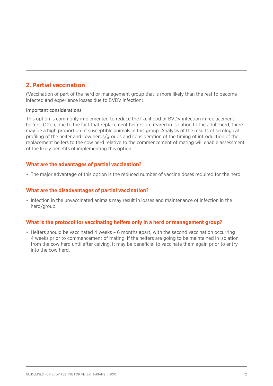## **2. Partial vaccination**

(Vaccination of part of the herd or management group that is more likely than the rest to become infected and experience losses due to BVDV infection).

### Important considerations

This option is commonly implemented to reduce the likelihood of BVDV infection in replacement heifers. Often, due to the fact that replacement heifers are reared in isolation to the adult herd, there may be a high proportion of susceptible animals in this group. Analysis of the results of serological profiling of the heifer and cow herds/groups and consideration of the timing of introduction of the replacement heifers to the cow herd relative to the commencement of mating will enable assessment of the likely benefits of implementing this option.

### **What are the advantages of partial vaccination?**

• The major advantage of this option is the reduced number of vaccine doses required for the herd.

### **What are the disadvantages of partial vaccination?**

• Infection in the unvaccinated animals may result in losses and maintenance of infection in the herd/group.

### **What is the protocol for vaccinating heifers only in a herd or management group?**

• Heifers should be vaccinated 4 weeks – 6 months apart, with the second vaccination occurring 4 weeks prior to commencement of mating. If the heifers are going to be maintained in isolation from the cow herd until after calving, it may be beneficial to vaccinate them again prior to entry into the cow herd.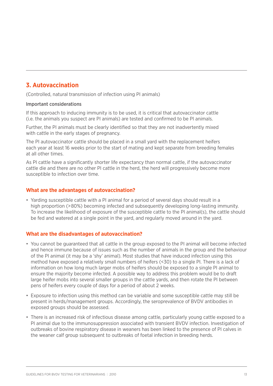## **3. Autovaccination**

(Controlled, natural transmission of infection using PI animals)

#### Important considerations

If this approach to inducing immunity is to be used, it is critical that autovaccinator cattle (i.e. the animals you suspect are PI animals) are tested and confirmed to be PI animals.

Further, the PI animals must be clearly identified so that they are not inadvertently mixed with cattle in the early stages of pregnancy.

The PI autovaccinator cattle should be placed in a small yard with the replacement heifers each year at least 16 weeks prior to the start of mating and kept separate from breeding females at all other times.

As PI cattle have a significantly shorter life expectancy than normal cattle, if the autovaccinator cattle die and there are no other PI cattle in the herd, the herd will progressively become more susceptible to infection over time.

### **What are the advantages of autovaccination?**

• Yarding susceptible cattle with a PI animal for a period of several days should result in a high proportion (>80%) becoming infected and subsequently developing long-lasting immunity. To increase the likelihood of exposure of the susceptible cattle to the PI animal(s), the cattle should be fed and watered at a single point in the yard, and regularly moved around in the yard.

### **What are the disadvantages of autovaccination?**

- You cannot be guaranteed that all cattle in the group exposed to the PI animal will become infected and hence immune because of issues such as the number of animals in the group and the behaviour of the PI animal (it may be a 'shy' animal). Most studies that have induced infection using this method have exposed a relatively small numbers of heifers (<30) to a single PI. There is a lack of information on how long much larger mobs of heifers should be exposed to a single PI animal to ensure the majority become infected. A possible way to address this problem would be to draft large heifer mobs into several smaller groups in the cattle yards, and then rotate the PI between pens of heifers every couple of days for a period of about 2 weeks.
- Exposure to infection using this method can be variable and some susceptible cattle may still be present in herds/management groups. Accordingly, the seroprevalence of BVDV antibodies in exposed groups should be assessed.
- There is an increased risk of infectious disease among cattle, particularly young cattle exposed to a PI animal due to the immunosuppression associated with transient BVDV infection. Investigation of outbreaks of bovine respiratory disease in weaners has been linked to the presence of PI calves in the weaner calf group subsequent to outbreaks of foetal infection in breeding herds.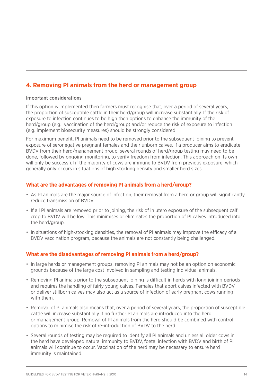## **4. Removing PI animals from the herd or management group**

### Important considerations

If this option is implemented then farmers must recognise that, over a period of several years, the proportion of susceptible cattle in their herd/group will increase substantially. If the risk of exposure to infection continues to be high then options to enhance the immunity of the herd/group (e.g. vaccination of the herd/group) and/or reduce the risk of exposure to infection (e.g. implement biosecurity measures) should be strongly considered.

For maximum benefit, PI animals need to be removed prior to the subsequent joining to prevent exposure of seronegative pregnant females and their unborn calves. If a producer aims to eradicate BVDV from their herd/management group, several rounds of herd/group testing may need to be done, followed by ongoing monitoring, to verify freedom from infection. This approach on its own will only be successful if the majority of cows are immune to BVDV from previous exposure, which generally only occurs in situations of high stocking density and smaller herd sizes.

### **What are the advantages of removing PI animals from a herd/group?**

- As PI animals are the major source of infection, their removal from a herd or group will significantly reduce transmission of BVDV.
- If all PI animals are removed prior to joining, the risk of in utero exposure of the subsequent calf crop to BVDV will be low. This minimises or eliminates the proportion of PI calves introduced into the herd/group.
- In situations of high-stocking densities, the removal of PI animals may improve the efficacy of a BVDV vaccination program, because the animals are not constantly being challenged.

### **What are the disadvantages of removing PI animals from a herd/group?**

- In large herds or management groups, removing PI animals may not be an option on economic grounds because of the large cost involved in sampling and testing individual animals.
- Removing PI animals prior to the subsequent joining is difficult in herds with long joining periods and requires the handling of fairly young calves. Females that abort calves infected with BVDV or deliver stillborn calves may also act as a source of infection of early pregnant cows running with them.
- Removal of PI animals also means that, over a period of several years, the proportion of susceptible cattle will increase substantially if no further PI animals are introduced into the herd or management group. Removal of PI animals from the herd should be combined with control options to minimise the risk of re-introduction of BVDV to the herd.
- Several rounds of testing may be required to identify all PI animals and unless all older cows in the herd have developed natural immunity to BVDV, foetal infection with BVDV and birth of PI animals will continue to occur. Vaccination of the herd may be necessary to ensure herd immunity is maintained.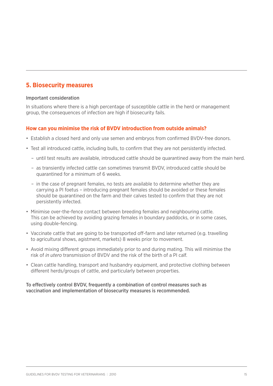## **5. Biosecurity measures**

### Important consideration

In situations where there is a high percentage of susceptible cattle in the herd or management group, the consequences of infection are high if biosecurity fails.

### **How can you minimise the risk of BVDV introduction from outside animals?**

- Establish a closed herd and only use semen and embryos from confirmed BVDV-free donors.
- Test all introduced cattle, including bulls, to confirm that they are not persistently infected.
	- until test results are available, introduced cattle should be quarantined away from the main herd.
	- as transiently infected cattle can sometimes transmit BVDV, introduced cattle should be quarantined for a minimum of 6 weeks.
	- in the case of pregnant females, no tests are available to determine whether they are carrying a PI foetus – introducing pregnant females should be avoided or these females should be quarantined on the farm and their calves tested to confirm that they are not persistently infected.
- Minimise over-the-fence contact between breeding females and neighbouring cattle. This can be achieved by avoiding grazing females in boundary paddocks, or in some cases, using double-fencing.
- Vaccinate cattle that are going to be transported off-farm and later returned (e.g. travelling to agricultural shows, agistment, markets) 8 weeks prior to movement.
- Avoid mixing different groups immediately prior to and during mating. This will minimise the risk of *in utero* transmission of BVDV and the risk of the birth of a PI calf.
- Clean cattle handling, transport and husbandry equipment, and protective clothing between different herds/groups of cattle, and particularly between properties.

To effectively control BVDV, frequently a combination of control measures such as vaccination and implementation of biosecurity measures is recommended.